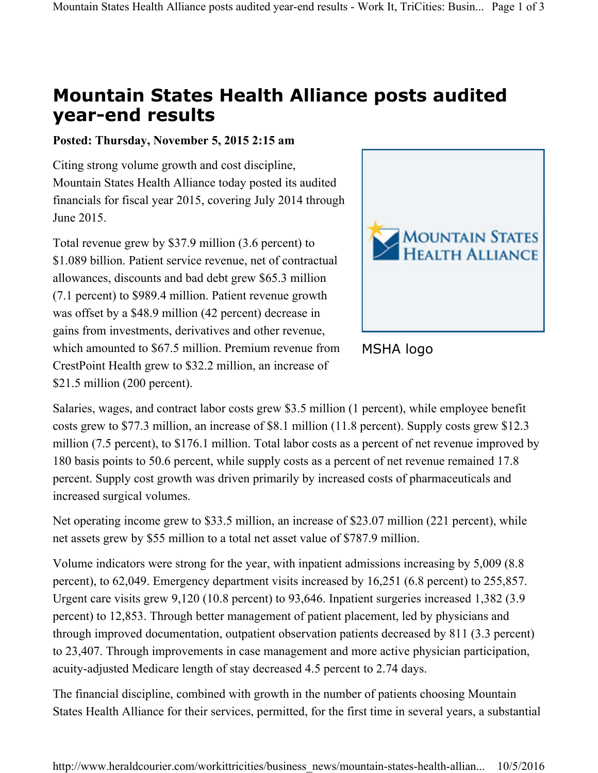## **Mountain States Health Alliance posts audited year-end results**

## **Posted: Thursday, November 5, 2015 2:15 am**

Citing strong volume growth and cost discipline, Mountain States Health Alliance today posted its audited financials for fiscal year 2015, covering July 2014 through June 2015.

Total revenue grew by \$37.9 million (3.6 percent) to \$1.089 billion. Patient service revenue, net of contractual allowances, discounts and bad debt grew \$65.3 million (7.1 percent) to \$989.4 million. Patient revenue growth was offset by a \$48.9 million (42 percent) decrease in gains from investments, derivatives and other revenue, which amounted to \$67.5 million. Premium revenue from CrestPoint Health grew to \$32.2 million, an increase of \$21.5 million (200 percent).





Salaries, wages, and contract labor costs grew \$3.5 million (1 percent), while employee benefit costs grew to \$77.3 million, an increase of \$8.1 million (11.8 percent). Supply costs grew \$12.3 million (7.5 percent), to \$176.1 million. Total labor costs as a percent of net revenue improved by 180 basis points to 50.6 percent, while supply costs as a percent of net revenue remained 17.8 percent. Supply cost growth was driven primarily by increased costs of pharmaceuticals and increased surgical volumes.

Net operating income grew to \$33.5 million, an increase of \$23.07 million (221 percent), while net assets grew by \$55 million to a total net asset value of \$787.9 million.

Volume indicators were strong for the year, with inpatient admissions increasing by 5,009 (8.8 percent), to 62,049. Emergency department visits increased by 16,251 (6.8 percent) to 255,857. Urgent care visits grew 9,120 (10.8 percent) to 93,646. Inpatient surgeries increased 1,382 (3.9 percent) to 12,853. Through better management of patient placement, led by physicians and through improved documentation, outpatient observation patients decreased by 811 (3.3 percent) to 23,407. Through improvements in case management and more active physician participation, acuity-adjusted Medicare length of stay decreased 4.5 percent to 2.74 days.

The financial discipline, combined with growth in the number of patients choosing Mountain States Health Alliance for their services, permitted, for the first time in several years, a substantial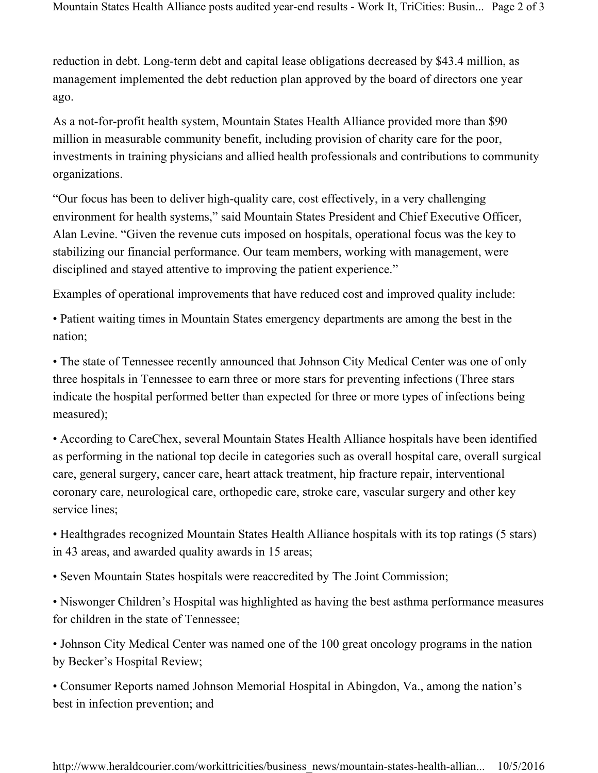reduction in debt. Long-term debt and capital lease obligations decreased by \$43.4 million, as management implemented the debt reduction plan approved by the board of directors one year ago.

As a not-for-profit health system, Mountain States Health Alliance provided more than \$90 million in measurable community benefit, including provision of charity care for the poor, investments in training physicians and allied health professionals and contributions to community organizations.

"Our focus has been to deliver high-quality care, cost effectively, in a very challenging environment for health systems," said Mountain States President and Chief Executive Officer, Alan Levine. "Given the revenue cuts imposed on hospitals, operational focus was the key to stabilizing our financial performance. Our team members, working with management, were disciplined and stayed attentive to improving the patient experience."

Examples of operational improvements that have reduced cost and improved quality include:

• Patient waiting times in Mountain States emergency departments are among the best in the nation;

• The state of Tennessee recently announced that Johnson City Medical Center was one of only three hospitals in Tennessee to earn three or more stars for preventing infections (Three stars indicate the hospital performed better than expected for three or more types of infections being measured);

• According to CareChex, several Mountain States Health Alliance hospitals have been identified as performing in the national top decile in categories such as overall hospital care, overall surgical care, general surgery, cancer care, heart attack treatment, hip fracture repair, interventional coronary care, neurological care, orthopedic care, stroke care, vascular surgery and other key service lines;

• Healthgrades recognized Mountain States Health Alliance hospitals with its top ratings (5 stars) in 43 areas, and awarded quality awards in 15 areas;

• Seven Mountain States hospitals were reaccredited by The Joint Commission;

• Niswonger Children's Hospital was highlighted as having the best asthma performance measures for children in the state of Tennessee;

• Johnson City Medical Center was named one of the 100 great oncology programs in the nation by Becker's Hospital Review;

• Consumer Reports named Johnson Memorial Hospital in Abingdon, Va., among the nation's best in infection prevention; and